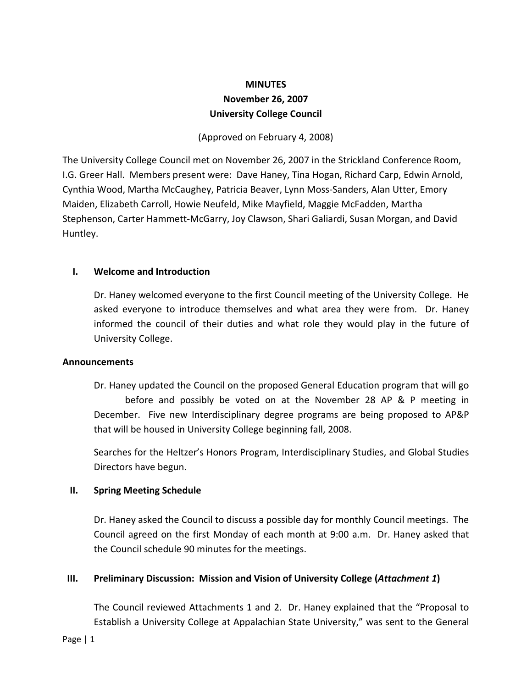# **MINUTES November 26, 2007 University College Council**

(Approved on February 4, 2008)

The University College Council met on November 26, 2007 in the Strickland Conference Room, I.G. Greer Hall. Members present were: Dave Haney, Tina Hogan, Richard Carp, Edwin Arnold, Cynthia Wood, Martha McCaughey, Patricia Beaver, Lynn Moss‐Sanders, Alan Utter, Emory Maiden, Elizabeth Carroll, Howie Neufeld, Mike Mayfield, Maggie McFadden, Martha Stephenson, Carter Hammett‐McGarry, Joy Clawson, Shari Galiardi, Susan Morgan, and David Huntley.

## **I. Welcome and Introduction**

Dr. Haney welcomed everyone to the first Council meeting of the University College. He asked everyone to introduce themselves and what area they were from. Dr. Haney informed the council of their duties and what role they would play in the future of University College.

#### **Announcements**

Dr. Haney updated the Council on the proposed General Education program that will go before and possibly be voted on at the November 28 AP & P meeting in December. Five new Interdisciplinary degree programs are being proposed to AP&P that will be housed in University College beginning fall, 2008.

Searches for the Heltzer's Honors Program, Interdisciplinary Studies, and Global Studies Directors have begun.

#### **II. Spring Meeting Schedule**

Dr. Haney asked the Council to discuss a possible day for monthly Council meetings. The Council agreed on the first Monday of each month at 9:00 a.m. Dr. Haney asked that the Council schedule 90 minutes for the meetings.

#### **III. Preliminary Discussion: Mission and Vision of University College (***Attachment 1***)**

The Council reviewed Attachments 1 and 2. Dr. Haney explained that the "Proposal to Establish a University College at Appalachian State University," was sent to the General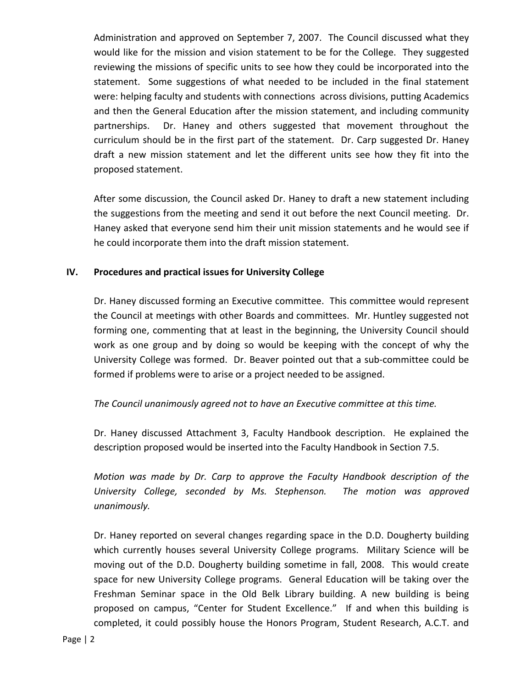Administration and approved on September 7, 2007. The Council discussed what they would like for the mission and vision statement to be for the College. They suggested reviewing the missions of specific units to see how they could be incorporated into the statement. Some suggestions of what needed to be included in the final statement were: helping faculty and students with connections across divisions, putting Academics and then the General Education after the mission statement, and including community partnerships. Dr. Haney and others suggested that movement throughout the curriculum should be in the first part of the statement. Dr. Carp suggested Dr. Haney draft a new mission statement and let the different units see how they fit into the proposed statement.

After some discussion, the Council asked Dr. Haney to draft a new statement including the suggestions from the meeting and send it out before the next Council meeting. Dr. Haney asked that everyone send him their unit mission statements and he would see if he could incorporate them into the draft mission statement.

## **IV. Procedures and practical issues for University College**

Dr. Haney discussed forming an Executive committee. This committee would represent the Council at meetings with other Boards and committees. Mr. Huntley suggested not forming one, commenting that at least in the beginning, the University Council should work as one group and by doing so would be keeping with the concept of why the University College was formed. Dr. Beaver pointed out that a sub‐committee could be formed if problems were to arise or a project needed to be assigned.

# *The Council unanimously agreed not to have an Executive committee at this time.*

Dr. Haney discussed Attachment 3, Faculty Handbook description. He explained the description proposed would be inserted into the Faculty Handbook in Section 7.5.

*Motion was made by Dr. Carp to approve the Faculty Handbook description of the University College, seconded by Ms. Stephenson. The motion was approved unanimously.* 

Dr. Haney reported on several changes regarding space in the D.D. Dougherty building which currently houses several University College programs. Military Science will be moving out of the D.D. Dougherty building sometime in fall, 2008. This would create space for new University College programs. General Education will be taking over the Freshman Seminar space in the Old Belk Library building. A new building is being proposed on campus, "Center for Student Excellence." If and when this building is completed, it could possibly house the Honors Program, Student Research, A.C.T. and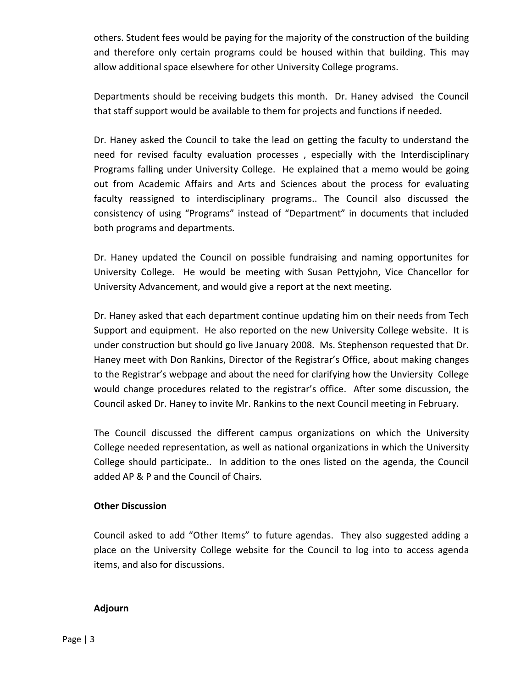others. Student fees would be paying for the majority of the construction of the building and therefore only certain programs could be housed within that building. This may allow additional space elsewhere for other University College programs.

Departments should be receiving budgets this month. Dr. Haney advised the Council that staff support would be available to them for projects and functions if needed.

Dr. Haney asked the Council to take the lead on getting the faculty to understand the need for revised faculty evaluation processes , especially with the Interdisciplinary Programs falling under University College. He explained that a memo would be going out from Academic Affairs and Arts and Sciences about the process for evaluating faculty reassigned to interdisciplinary programs.. The Council also discussed the consistency of using "Programs" instead of "Department" in documents that included both programs and departments.

Dr. Haney updated the Council on possible fundraising and naming opportunites for University College. He would be meeting with Susan Pettyjohn, Vice Chancellor for University Advancement, and would give a report at the next meeting.

Dr. Haney asked that each department continue updating him on their needs from Tech Support and equipment. He also reported on the new University College website. It is under construction but should go live January 2008. Ms. Stephenson requested that Dr. Haney meet with Don Rankins, Director of the Registrar's Office, about making changes to the Registrar's webpage and about the need for clarifying how the Unviersity College would change procedures related to the registrar's office. After some discussion, the Council asked Dr. Haney to invite Mr. Rankins to the next Council meeting in February.

The Council discussed the different campus organizations on which the University College needed representation, as well as national organizations in which the University College should participate.. In addition to the ones listed on the agenda, the Council added AP & P and the Council of Chairs.

#### **Other Discussion**

Council asked to add "Other Items" to future agendas. They also suggested adding a place on the University College website for the Council to log into to access agenda items, and also for discussions.

#### **Adjourn**